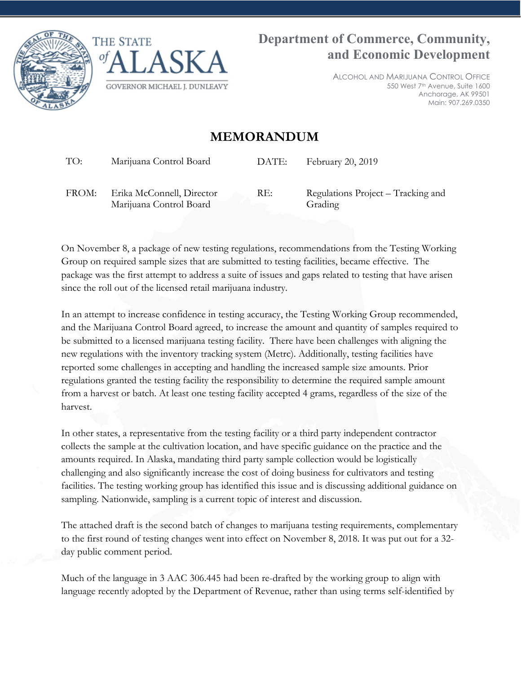



ALCOHOL AND MARIJUANA CONTROL OFFICE 550 West 7th Avenue, Suite 1600 Anchorage, AK 99501 Main: 907.269.0350

# **MEMORANDUM**

TO: Marijuana Control Board DATE: February 20, 2019

FROM: Erika McConnell, Director Marijuana Control Board

RE: Regulations Project – Tracking and Grading

On November 8, a package of new testing regulations, recommendations from the Testing Working Group on required sample sizes that are submitted to testing facilities, became effective. The package was the first attempt to address a suite of issues and gaps related to testing that have arisen since the roll out of the licensed retail marijuana industry.

In an attempt to increase confidence in testing accuracy, the Testing Working Group recommended, and the Marijuana Control Board agreed, to increase the amount and quantity of samples required to be submitted to a licensed marijuana testing facility. There have been challenges with aligning the new regulations with the inventory tracking system (Metrc). Additionally, testing facilities have reported some challenges in accepting and handling the increased sample size amounts. Prior regulations granted the testing facility the responsibility to determine the required sample amount from a harvest or batch. At least one testing facility accepted 4 grams, regardless of the size of the harvest.

In other states, a representative from the testing facility or a third party independent contractor collects the sample at the cultivation location, and have specific guidance on the practice and the amounts required. In Alaska, mandating third party sample collection would be logistically challenging and also significantly increase the cost of doing business for cultivators and testing facilities. The testing working group has identified this issue and is discussing additional guidance on sampling. Nationwide, sampling is a current topic of interest and discussion.

The attached draft is the second batch of changes to marijuana testing requirements, complementary to the first round of testing changes went into effect on November 8, 2018. It was put out for a 32 day public comment period.

Much of the language in 3 AAC 306.445 had been re-drafted by the working group to align with language recently adopted by the Department of Revenue, rather than using terms self-identified by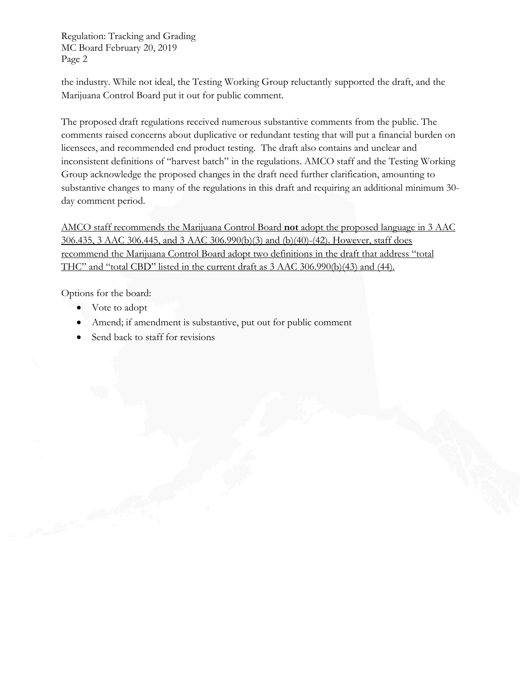Regulation: Tracking and Grading MC Board February 20, 2019 Page 2

the industry. While not ideal, the Testing Working Group reluctantly supported the draft, and the Marijuana Control Board put it out for public comment.

The proposed draft regulations received numerous substantive comments from the public. The comments raised concerns about duplicative or redundant testing that will put a financial burden on licensees, and recommended end product testing. The draft also contains and unclear and inconsistent definitions of "harvest batch" in the regulations. AMCO staff and the Testing Working Group acknowledge the proposed changes in the draft need further clarification, amounting to substantive changes to many of the regulations in this draft and requiring an additional minimum 30 day comment period.

AMCO staff recommends the Marijuana Control Board **not** adopt the proposed language in 3 AAC 306.435, 3 AAC 306.445, and 3 AAC 306.990(b)(3) and (b)(40)-(42). However, staff does recommend the Marijuana Control Board adopt two definitions in the draft that address "total THC" and "total CBD" listed in the current draft as 3 AAC 306.990(b)(43) and (44).

Options for the board:

- Vote to adopt
- Amend; if amendment is substantive, put out for public comment
- Send back to staff for revisions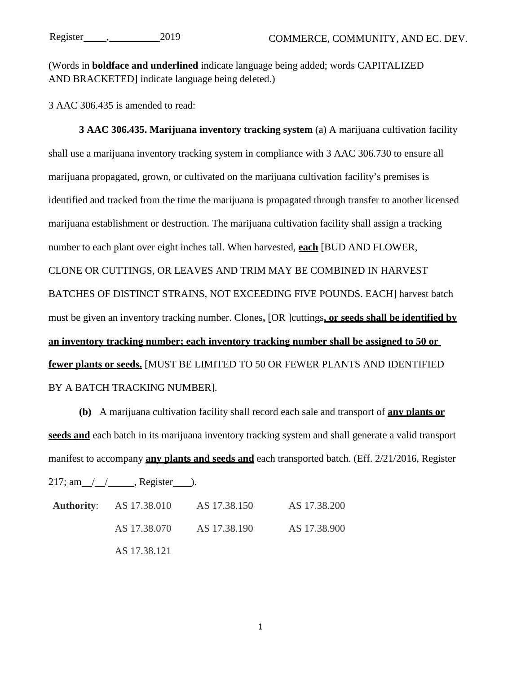(Words in **boldface and underlined** indicate language being added; words CAPITALIZED AND BRACKETED] indicate language being deleted.)

3 AAC 306.435 is amended to read:

**3 AAC 306.435. Marijuana inventory tracking system** (a) A marijuana cultivation facility shall use a marijuana inventory tracking system in compliance with 3 AAC 306.730 to ensure all marijuana propagated, grown, or cultivated on the marijuana cultivation facility's premises is identified and tracked from the time the marijuana is propagated through transfer to another licensed marijuana establishment or destruction. The marijuana cultivation facility shall assign a tracking number to each plant over eight inches tall. When harvested, **each** [BUD AND FLOWER, CLONE OR CUTTINGS, OR LEAVES AND TRIM MAY BE COMBINED IN HARVEST BATCHES OF DISTINCT STRAINS, NOT EXCEEDING FIVE POUNDS. EACH] harvest batch must be given an inventory tracking number. Clones**,** [OR ]cuttings**, or seeds shall be identified by an inventory tracking number; each inventory tracking number shall be assigned to 50 or fewer plants or seeds.** [MUST BE LIMITED TO 50 OR FEWER PLANTS AND IDENTIFIED BY A BATCH TRACKING NUMBER].

**(b)** A marijuana cultivation facility shall record each sale and transport of **any plants or seeds and** each batch in its marijuana inventory tracking system and shall generate a valid transport manifest to accompany **any plants and seeds and** each transported batch. (Eff. 2/21/2016, Register

 $217$ ; am / / , Register ).

| <b>Authority:</b> AS 17.38.010 | AS 17.38.150 | AS 17.38.200 |
|--------------------------------|--------------|--------------|
| AS 17.38.070                   | AS 17.38.190 | AS 17.38.900 |
| AS 17.38.121                   |              |              |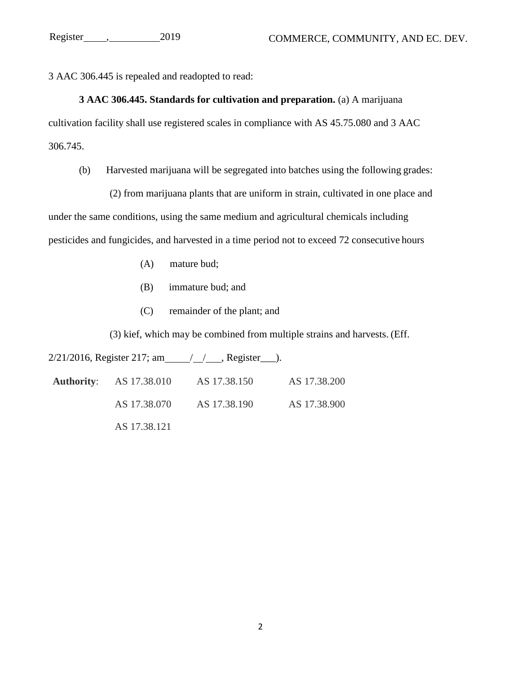3 AAC 306.445 is repealed and readopted to read:

# **3 AAC 306.445. Standards for cultivation and preparation.** (a) A marijuana cultivation facility shall use registered scales in compliance with AS 45.75.080 and 3 AAC 306.745.

(b) Harvested marijuana will be segregated into batches using the following grades:

(2) from marijuana plants that are uniform in strain, cultivated in one place and under the same conditions, using the same medium and agricultural chemicals including pesticides and fungicides, and harvested in a time period not to exceed 72 consecutive hours

- (A) mature bud;
- (B) immature bud; and
- (C) remainder of the plant; and

(3) kief, which may be combined from multiple strains and harvests. (Eff.

 $2/21/2016$ , Register 217; am / / / , Register ...

| <b>Authority:</b> AS 17.38.010 | AS 17.38.150 | AS 17.38.200 |
|--------------------------------|--------------|--------------|
| AS 17.38.070                   | AS 17.38.190 | AS 17.38.900 |
| AS 17.38.121                   |              |              |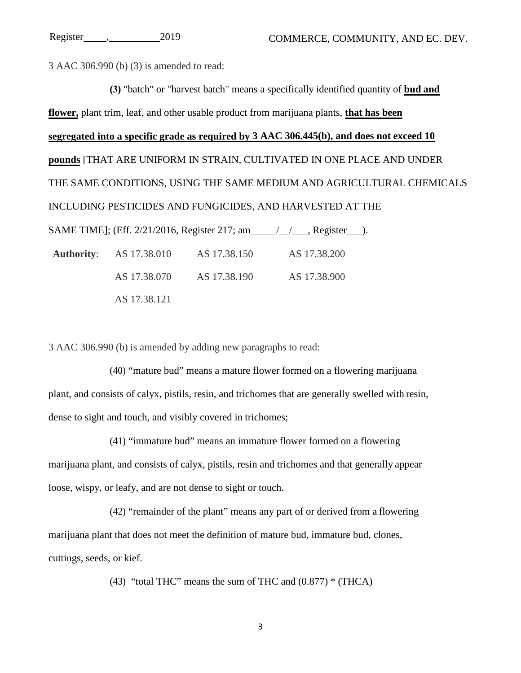3 AAC 306.990 (b) (3) is amended to read:

**(3)** "batch" or "harvest batch" means a specifically identified quantity of **bud and flower,** plant trim, leaf, and other usable product from marijuana plants, **that has been segregated into a specific grade as required by 3 AAC 306.445(b), and does not exceed 10 pounds** [THAT ARE UNIFORM IN STRAIN, CULTIVATED IN ONE PLACE AND UNDER THE SAME CONDITIONS, USING THE SAME MEDIUM AND AGRICULTURAL CHEMICALS INCLUDING PESTICIDES AND FUNGICIDES, AND HARVESTED AT THE SAME TIME]; (Eff. 2/21/2016, Register 217; am / / , Register ). **Authority**: AS 17.38.010 AS 17.38.150 AS 17.38.200 AS 17.38.070 AS 17.38.190 AS 17.38.900

3 AAC 306.990 (b) is amended by adding new paragraphs to read:

AS 17.38.121

(40) "mature bud" means a mature flower formed on a flowering marijuana plant, and consists of calyx, pistils, resin, and trichomes that are generally swelled with resin, dense to sight and touch, and visibly covered in trichomes;

(41) "immature bud" means an immature flower formed on a flowering marijuana plant, and consists of calyx, pistils, resin and trichomes and that generally appear loose, wispy, or leafy, and are not dense to sight or touch.

(42) "remainder of the plant" means any part of or derived from a flowering marijuana plant that does not meet the definition of mature bud, immature bud, clones, cuttings, seeds, or kief.

(43) "total THC" means the sum of THC and  $(0.877)$  \* (THCA)

3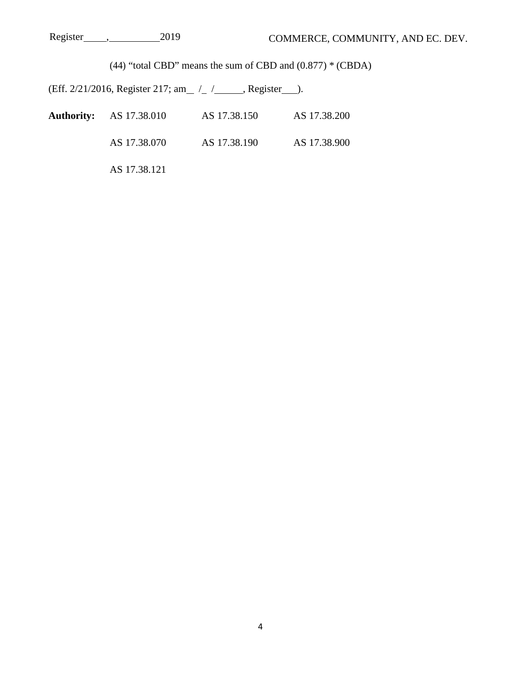(44) "total CBD" means the sum of CBD and  $(0.877)$  \* (CBDA)

(Eff.  $2/21/2016$ , Register 217; am  $\frac{\pi}{2}$  /  $\frac{\pi}{2}$ , Register  $\frac{\pi}{2}$ ).

| <b>Authority:</b> AS 17.38.010 | AS 17.38.150 | AS 17.38.200 |
|--------------------------------|--------------|--------------|
| AS 17.38.070                   | AS 17.38.190 | AS 17.38.900 |
| AS 17.38.121                   |              |              |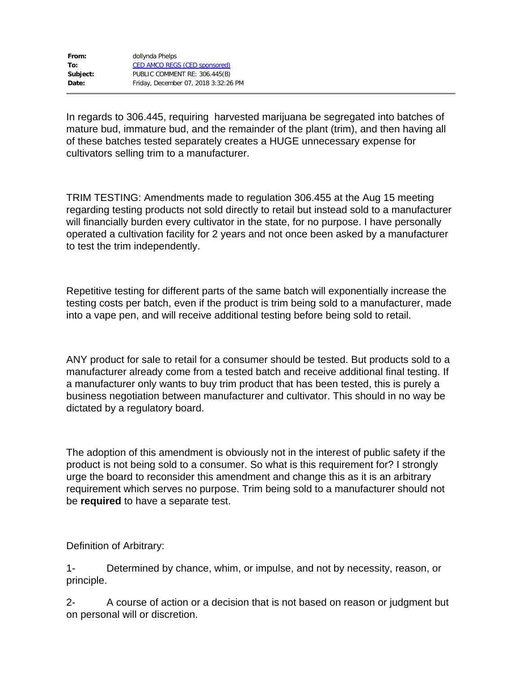| From:    | dollynda Phelps                      |
|----------|--------------------------------------|
| To:      | <b>CED AMCO REGS (CED sponsored)</b> |
| Subject: | PUBLIC COMMENT RE: 306.445(B)        |
| Date:    | Friday, December 07, 2018 3:32:26 PM |

In regards to 306.445, requiring harvested marijuana be segregated into batches of mature bud, immature bud, and the remainder of the plant (trim), and then having all of these batches tested separately creates a HUGE unnecessary expense for cultivators selling trim to a manufacturer.

TRIM TESTING: Amendments made to regulation 306.455 at the Aug 15 meeting regarding testing products not sold directly to retail but instead sold to a manufacturer will financially burden every cultivator in the state, for no purpose. I have personally operated a cultivation facility for 2 years and not once been asked by a manufacturer to test the trim independently.

Repetitive testing for different parts of the same batch will exponentially increase the testing costs per batch, even if the product is trim being sold to a manufacturer, made into a vape pen, and will receive additional testing before being sold to retail.

ANY product for sale to retail for a consumer should be tested. But products sold to a manufacturer already come from a tested batch and receive additional final testing. If a manufacturer only wants to buy trim product that has been tested, this is purely a business negotiation between manufacturer and cultivator. This should in no way be dictated by a regulatory board.

The adoption of this amendment is obviously not in the interest of public safety if the product is not being sold to a consumer. So what is this requirement for? I strongly urge the board to reconsider this amendment and change this as it is an arbitrary requirement which serves no purpose. Trim being sold to a manufacturer should not be **required** to have a separate test.

Definition of Arbitrary:

1- Determined by chance, whim, or impulse, and not by necessity, reason, or principle.

2- A course of action or a decision that is not based on reason or judgment but on personal will or discretion.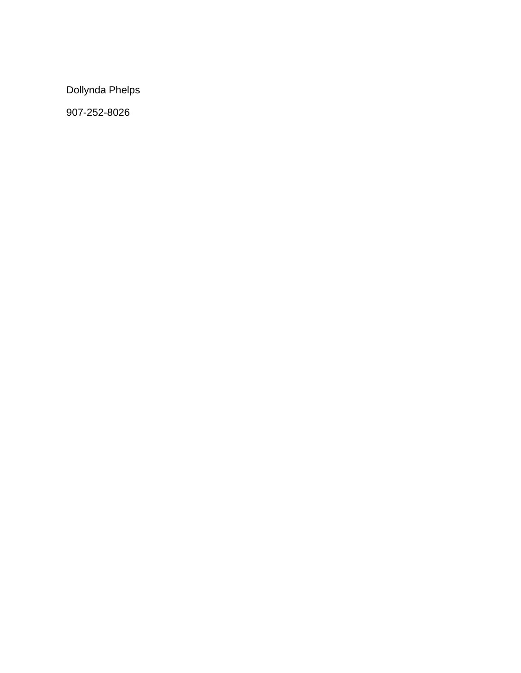Dollynda Phelps

907-252-8026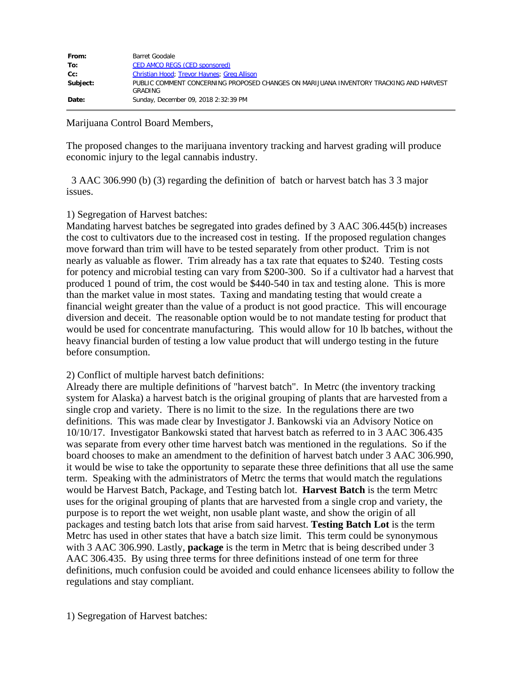| From:    | Barret Goodale                                                                                    |
|----------|---------------------------------------------------------------------------------------------------|
| To:      | CED AMCO REGS (CED sponsored)                                                                     |
| $Cc$ :   | Christian Hood; Trevor Haynes; Greg Allison                                                       |
| Subject: | PUBLIC COMMENT CONCERNING PROPOSED CHANGES ON MARIJUANA INVENTORY TRACKING AND HARVEST<br>GRADING |
| Date:    | Sunday, December 09, 2018 2:32:39 PM                                                              |

#### Marijuana Control Board Members,

The proposed changes to the marijuana inventory tracking and harvest grading will produce economic injury to the legal cannabis industry.

 3 AAC 306.990 (b) (3) regarding the definition of batch or harvest batch has 3 3 major issues.

## 1) Segregation of Harvest batches:

Mandating harvest batches be segregated into grades defined by 3 AAC 306.445(b) increases the cost to cultivators due to the increased cost in testing. If the proposed regulation changes move forward than trim will have to be tested separately from other product. Trim is not nearly as valuable as flower. Trim already has a tax rate that equates to \$240. Testing costs for potency and microbial testing can vary from \$200-300. So if a cultivator had a harvest that produced 1 pound of trim, the cost would be \$440-540 in tax and testing alone. This is more than the market value in most states. Taxing and mandating testing that would create a financial weight greater than the value of a product is not good practice. This will encourage diversion and deceit. The reasonable option would be to not mandate testing for product that would be used for concentrate manufacturing. This would allow for 10 lb batches, without the heavy financial burden of testing a low value product that will undergo testing in the future before consumption.

## 2) Conflict of multiple harvest batch definitions:

Already there are multiple definitions of "harvest batch". In Metrc (the inventory tracking system for Alaska) a harvest batch is the original grouping of plants that are harvested from a single crop and variety. There is no limit to the size. In the regulations there are two definitions. This was made clear by Investigator J. Bankowski via an Advisory Notice on 10/10/17. Investigator Bankowski stated that harvest batch as referred to in 3 AAC 306.435 was separate from every other time harvest batch was mentioned in the regulations. So if the board chooses to make an amendment to the definition of harvest batch under 3 AAC 306.990, it would be wise to take the opportunity to separate these three definitions that all use the same term. Speaking with the administrators of Metrc the terms that would match the regulations would be Harvest Batch, Package, and Testing batch lot. **Harvest Batch** is the term Metrc uses for the original grouping of plants that are harvested from a single crop and variety, the purpose is to report the wet weight, non usable plant waste, and show the origin of all packages and testing batch lots that arise from said harvest. **Testing Batch Lot** is the term Metrc has used in other states that have a batch size limit. This term could be synonymous with 3 AAC 306.990. Lastly, **package** is the term in Metrc that is being described under 3 AAC 306.435. By using three terms for three definitions instead of one term for three definitions, much confusion could be avoided and could enhance licensees ability to follow the regulations and stay compliant.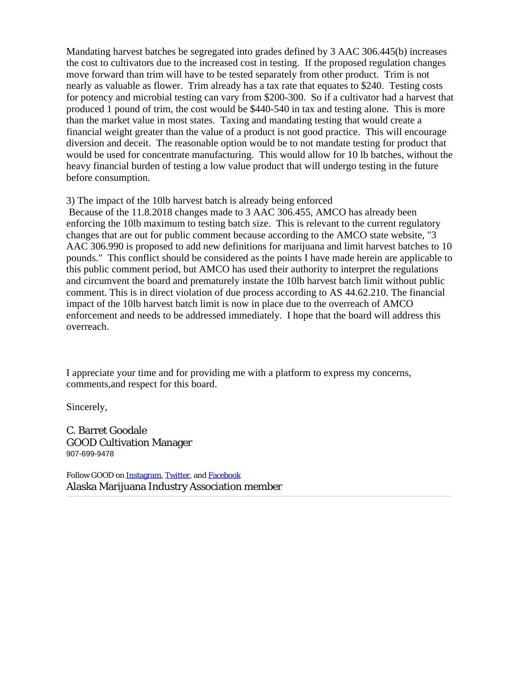Mandating harvest batches be segregated into grades defined by 3 AAC 306.445(b) increases the cost to cultivators due to the increased cost in testing. If the proposed regulation changes move forward than trim will have to be tested separately from other product. Trim is not nearly as valuable as flower. Trim already has a tax rate that equates to \$240. Testing costs for potency and microbial testing can vary from \$200-300. So if a cultivator had a harvest that produced 1 pound of trim, the cost would be \$440-540 in tax and testing alone. This is more than the market value in most states. Taxing and mandating testing that would create a financial weight greater than the value of a product is not good practice. This will encourage diversion and deceit. The reasonable option would be to not mandate testing for product that would be used for concentrate manufacturing. This would allow for 10 lb batches, without the heavy financial burden of testing a low value product that will undergo testing in the future before consumption.

3) The impact of the 10lb harvest batch is already being enforced

Because of the 11.8.2018 changes made to 3 AAC 306.455, AMCO has already been enforcing the 10lb maximum to testing batch size. This is relevant to the current regulatory changes that are out for public comment because according to the AMCO state website, "3 AAC 306.990 is proposed to add new definitions for marijuana and limit harvest batches to 10 pounds." This conflict should be considered as the points I have made herein are applicable to this public comment period, but AMCO has used their authority to interpret the regulations and circumvent the board and prematurely instate the 10lb harvest batch limit without public comment. This is in direct violation of due process according to AS 44.62.210. The financial impact of the 10lb harvest batch limit is now in place due to the overreach of AMCO enforcement and needs to be addressed immediately. I hope that the board will address this overreach.

I appreciate your time and for providing me with a platform to express my concerns, comments,and respect for this board.

Sincerely,

C. Barret Goodale GOOD Cultivation Manager 907-699-9478

Follow GOOD on **[Instagram](https://urldefense.proofpoint.com/v2/url?u=https-3A__www.instagram.com_goodakcannabis_-3Fhl-3Den&d=DwMFaQ&c=teXCf5DW4bHgLDM-H5_GmQ&r=4M-EnMjk-bwCuHbOOAciFdymXBXfJ4ojVwApzxlAloQ&m=14082PuqU7umpE3Wi6B70iiTtomlmUAcpTC1mJYNVoc&s=PvkqSO6EeAYCzkY4bcAco_pM__iAns1R3Jsq4oIs2RY&e=)**, [Twitter](https://urldefense.proofpoint.com/v2/url?u=https-3A__twitter.com_goodakcannabis&d=DwMFaQ&c=teXCf5DW4bHgLDM-H5_GmQ&r=4M-EnMjk-bwCuHbOOAciFdymXBXfJ4ojVwApzxlAloQ&m=14082PuqU7umpE3Wi6B70iiTtomlmUAcpTC1mJYNVoc&s=mQnFPFS_yiu0wccDIBZGYIbAhOgPc9WIrAiKSV5hgtw&e=), and **[Facebook](https://urldefense.proofpoint.com/v2/url?u=http-3A__fb.me_goodalaska&d=DwMFaQ&c=teXCf5DW4bHgLDM-H5_GmQ&r=4M-EnMjk-bwCuHbOOAciFdymXBXfJ4ojVwApzxlAloQ&m=14082PuqU7umpE3Wi6B70iiTtomlmUAcpTC1mJYNVoc&s=jPI-GHcR8uVDc8FSZjn9o-ocjjKKAilZIyvxbXcxoPM&e=)** Alaska Marijuana Industry Association member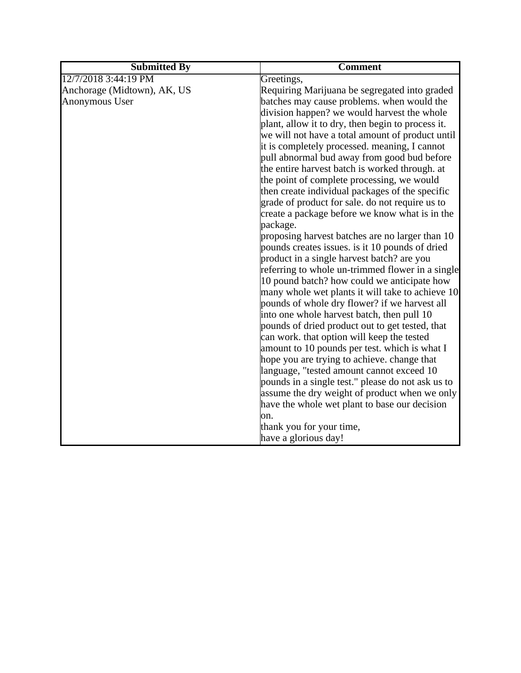| <b>Submitted By</b>         | <b>Comment</b>                                    |
|-----------------------------|---------------------------------------------------|
| 12/7/2018 3:44:19 PM        | Greetings,                                        |
| Anchorage (Midtown), AK, US | Requiring Marijuana be segregated into graded     |
| Anonymous User              | batches may cause problems. when would the        |
|                             | division happen? we would harvest the whole       |
|                             | plant, allow it to dry, then begin to process it. |
|                             | we will not have a total amount of product until  |
|                             | it is completely processed. meaning, I cannot     |
|                             | pull abnormal bud away from good bud before       |
|                             | the entire harvest batch is worked through. at    |
|                             | the point of complete processing, we would        |
|                             | then create individual packages of the specific   |
|                             | grade of product for sale. do not require us to   |
|                             | create a package before we know what is in the    |
|                             | package.                                          |
|                             | proposing harvest batches are no larger than 10   |
|                             | pounds creates issues. is it 10 pounds of dried   |
|                             | product in a single harvest batch? are you        |
|                             | referring to whole un-trimmed flower in a single  |
|                             | 10 pound batch? how could we anticipate how       |
|                             | many whole wet plants it will take to achieve 10  |
|                             | pounds of whole dry flower? if we harvest all     |
|                             | into one whole harvest batch, then pull 10        |
|                             | pounds of dried product out to get tested, that   |
|                             | can work. that option will keep the tested        |
|                             | amount to 10 pounds per test. which is what I     |
|                             | hope you are trying to achieve. change that       |
|                             | language, "tested amount cannot exceed 10         |
|                             | pounds in a single test." please do not ask us to |
|                             | assume the dry weight of product when we only     |
|                             | have the whole wet plant to base our decision     |
|                             | on.                                               |
|                             | thank you for your time,                          |
|                             | have a glorious day!                              |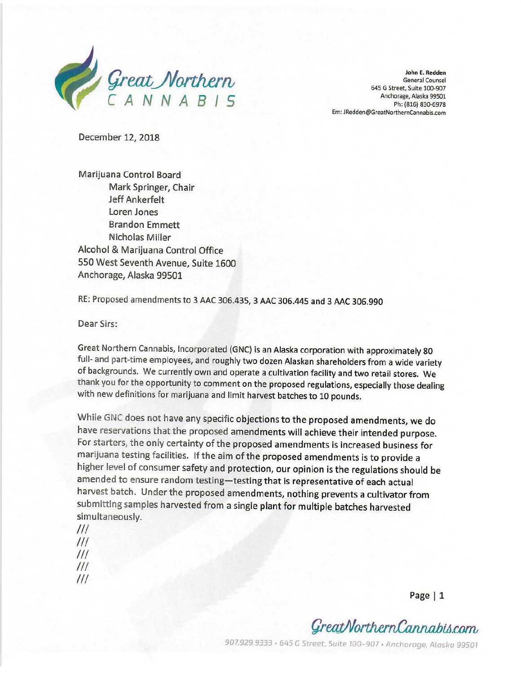

John E. Redden **General Counsel** 645 G Street, Suite 100-907 Anchorage, Alaska 99501 Ph: (816) 830-6978 Em: JRedden@GreatNorthernCannabis.com

December 12, 2018

Marijuana Control Board Mark Springer, Chair Jeff Ankerfelt Loren Jones **Brandon Emmett** Nicholas Miller Alcohol & Marijuana Control Office 550 West Seventh Avenue, Suite 1600 Anchorage, Alaska 99501

RE: Proposed amendments to 3 AAC 306.435, 3 AAC 306.445 and 3 AAC 306.990

Dear Sirs:

Great Northern Cannabis, Incorporated (GNC) is an Alaska corporation with approximately 80 full- and part-time employees, and roughly two dozen Alaskan shareholders from a wide variety of backgrounds. We currently own and operate a cultivation facility and two retail stores. We thank you for the opportunity to comment on the proposed regulations, especially those dealing with new definitions for marijuana and limit harvest batches to 10 pounds.

While GNC does not have any specific objections to the proposed amendments, we do have reservations that the proposed amendments will achieve their intended purpose. For starters, the only certainty of the proposed amendments is increased business for marijuana testing facilities. If the aim of the proposed amendments is to provide a higher level of consumer safety and protection, our opinion is the regulations should be amended to ensure random testing-testing that is representative of each actual harvest batch. Under the proposed amendments, nothing prevents a cultivator from submitting samples harvested from a single plant for multiple batches harvested simultaneously.

 $III$  $III$  $III$  $III$  $III$ 

Page  $|1$ 

GreatNorthernCannabis.com

907.929.9333 · 645 G Street, Suite 100-907 · Anchorage, Alaska 99501